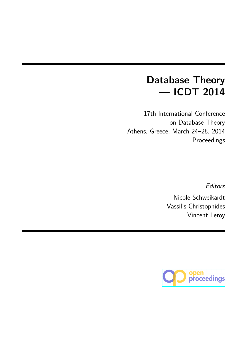# **Database Theory — ICDT 2014**

17th International Conference on Database Theory Athens, Greece, March 24–28, 2014 Proceedings

*Editors*

Nicole Schweikardt Vassilis Christophides Vincent Leroy

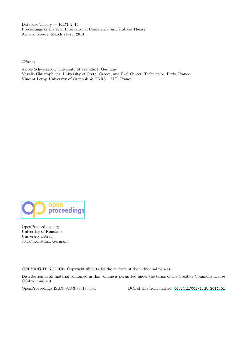Database Theory — ICDT 2014 Proceedings of the 17th International Conference on Database Theory Athens, Greece, March 24–28, 2014

*Editors*

Nicole Schweikardt, University of Frankfurt, Germany Vassilis Christophides, University of Crete, Greece, and R&I Center, Technicolor, Paris, France Vincent Leroy, University of Grenoble & CNRS – LIG, France



OpenProceedings.org [University of Konstanz](http://OpenProceedings.org/) University Library 78457 Konstanz, Germany

COPYRIGHT NOTICE: Copyright  $\odot$  2014 by the authors of the individual papers.

Distribution of all material contained in this volume is permitted under the terms of the Creative Commons license CC-by-nc-nd 4.0

OpenProceedings ISBN: 978-3-89318066-1 DOI of this front matter: 10.5441/002/icdt.2014.01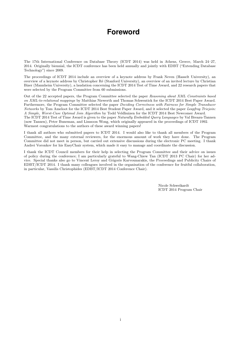### **Foreword**

The 17th International Conference on Database Theory (ICDT 2014) was held in Athens, Greece, March 24–27, 2014. Originally biennial, the ICDT conference has been held annually and jointly with EDBT ("Extending Database Technology") since 2009.

The proceedings of ICDT 2014 include an overview of a keynote address by Frank Neven (Hasselt University), an overview of a keynote address by Christopher R´e (Stanford University), an overview of an invited lecture by Christian Bizer (Mannheim University), a laudation concerning the ICDT 2014 Test of Time Award, and 22 research papers that were selected by the Program Committee from 60 submissions.

Out of the 22 accepted papers, the Program Committee selected the paper *Reasoning about XML Constraints based on XML-to-relational mappings* by Matthias Niewerth and Thomas Schwentick for the ICDT 2014 Best Paper Award. Furthermore, the Program Committee selected the paper *Deciding Correctness with Fairness for Simple Transducer Networks* by Tom Ameloot for the ICDT 2014 Best Student Paper Award, and it selected the paper *Leapfrog Triejoin: A Simple, Worst-Case Optimal Join Algorithm* by Todd Veldhuizen for the ICDT 2014 Best Newcomer Award. The ICDT 2014 Test of Time Award is given to the paper *Naturally Embedded Query Languages* by Val Breazu-Tannen (now Tannen), Peter Buneman, and Limsoon Wong, which originally appeared in the proceedings of ICDT 1992. Warmest congratulations to the authors of these award winning papers!

I thank all authors who submitted papers to ICDT 2014. I would also like to thank all members of the Program Committee, and the many external reviewers, for the enormous amount of work they have done. The Program Committee did not meet in person, but carried out extensive discussions during the electronic PC meeting. I thank Andrei Voronkov for his EasyChair system, which made it easy to manage and coordinate the discussion.

I thank the ICDT Council members for their help in selecting the Program Committee and their advice on issues of policy during the conference; I am particularly grateful to Wang-Chiew Tan (ICDT 2013 PC Chair) for her advice. Special thanks also go to Vincent Leroy and Grigoris Karvounarakis, the Proceedings and Publicity Chairs of EDBT/ICDT 2014. I thank many colleagues involved in the organisation of the conference for fruitful collaboration, in particular, Vassilis Christophides (EDBT/ICDT 2014 Conference Chair).

> Nicole Schweikardt ICDT 2014 Program Chair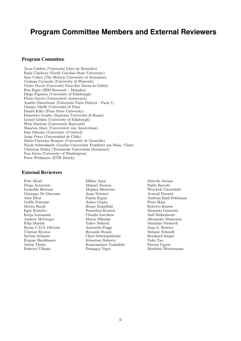### **Program Committee Members and External Reviewers**

#### Program Committee

Toon Calders (Université Libre de Bruxelles) Rada Chirkova (North Carolina State University) Sara Cohen (The Hebrew University of Jerusalem) Graham Cormode (University of Warwick) Claire David (Université Paris-Est Marne-la-Vallée) Ron Fagin (IBM Research - Almaden) Diego Figueira (University of Edinburgh) Floris Geerts (Universiteit Antwerpen) Amelie Gheerbrant (Université Paris Diderot - Paris 7) Giorgio Ghelli (Universit`a di Pisa) Daniel Kifer (Penn State University) Domenico Lembo (Sapienza Universit`a di Roma) Leonid Libkin (University of Edinburgh) Wim Martens (Universität Bayreuth) Maarten Marx (Universiteit van Amsterdam) Dan Olteanu (University of Oxford) Jorge Perez (Universidad de Chile) Marie-Christine Rousset (Université de Grenoble) Nicole Schweikardt (Goethe-Universität Frankfurt am Main, Chair) Christian Sohler (Technische Universität Dortmund) Dan Suciu (University of Washington) Peter Widmayer (ETH Zürich)

#### External Reviewers

Egor Kostylev Paraschos Koutris Federico Ulliana Domagoj Vrgoc Matthias Westermann

Foto Afrati Miklos Ajtai Marcelo Arenas Diego Arroyuelo Manuel Atencia Pablo Barceló Leopoldo Bertossi Meghyn Bienvenu Wojciech Czerwiński Giuseppe De Giacomo Anne Driemel Arnaud Durand Ga¨elle Fontaine Ankur Gupta Peter Haas Moritz Hardt Benny Kimelfeld Roberto Konow Katja Losemann Claudio Lucchese Anil Maheshwari Andrew McGregor Matus Mihalak Alexander Munteanu Filip Murlak Yakov Nekrich Matthias Niewerth Bruno C.D.S. Oliveira Antonella Poggi Juan L. Reutter Cristian Riveros Riccardo Rosati Melanie Schmidt Sylvain Schmitz Chris Schwiegelshohn Bernhard Seeger Evgeny Sherkhonov Sebastian Siebertz Yufei Tao Konstantinos Tsakalidis Martin Ugarte

Alon Efrat Funda Ergun Andreas Emil Feldmann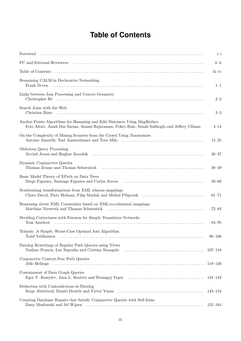## **Table of Contents**

| Foreword                                                                                                                                                                 | $i-i$        |
|--------------------------------------------------------------------------------------------------------------------------------------------------------------------------|--------------|
|                                                                                                                                                                          | $i$ i $-i$ i |
| Table of Contents                                                                                                                                                        | iii-iv       |
| Remaining CALM in Declarative Networking<br>Frank Neven                                                                                                                  | $1 - 1$      |
| Links between Join Processing and Convex Geometry                                                                                                                        | $2 - 2$      |
| Search Joins with the Web<br>Christian Bizer                                                                                                                             | $3 - 3$      |
| Anchor-Points Algorithms for Hamming and Edit Distances Using MapReduce<br>Foto Afrati, Anish Das Sarma, Anand Rajaraman, Pokey Rule, Semih Salihoglu and Jeffrey Ullman | $4 - 14$     |
| On the Complexity of Mining Itemsets from the Crowd Using Taxonomies                                                                                                     | $15 - 25$    |
| Oblivious Query Processing                                                                                                                                               | $26 - 37$    |
| Dynamic Conjunctive Queries                                                                                                                                              | $38 - 49$    |
| Basic Model Theory of XPath on Data Trees                                                                                                                                | $50 - 60$    |
| Synthesizing transformations from XML schema mappings<br>Claire David, Piotr Hofman, Filip Murlak and Michal Pilipczuk (and the David Piotroman Claire David Pilipczuk   | $61 - 71$    |
| Reasoning about XML Constraints based on XML-to-relational mappings                                                                                                      | $72 - 83$    |
| Deciding Correctness with Fairness for Simple Transducer Networks<br>Tom Ameloot                                                                                         | $84 - 95$    |
| Triejoin: A Simple, Worst-Case Optimal Join Algorithm<br>Todd Veldhuizen                                                                                                 | $96 - 106$   |
| Datalog Rewritings of Regular Path Queries using Views<br>Nadime Francis, Luc Segoufin and Cristina Sirangelo                                                            | $107 - 118$  |
| Conjunctive Context-Free Path Queries<br>Jelle Hellings                                                                                                                  | $119 - 130$  |
| Containment of Data Graph Queries<br>Egor V. Kostylev, Juan L. Reutter and Domagoj Vrgoc (and intervent intervent intervent intervent intervent in                       | 131–142      |
| Deduction with Contradictions in Datalog<br>Serge Abiteboul, Daniel Deutch and Victor Vianu                                                                              | 143–154      |
| Counting Database Repairs that Satisfy Conjunctive Queries with Self-Joins                                                                                               | 155–164      |